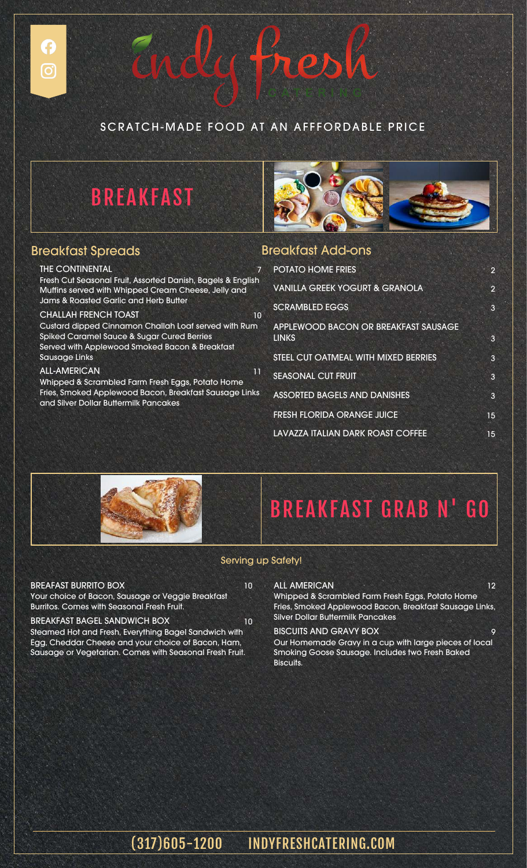

Endy tres



### Breakfast Spreads

#### THE CONTINENTAL

£

 $\left[ \mathbf{O}\right]$ 

Fresh Cut Seasonal Fruit, Assorted Danish, Bagels & English Muffins served with Whipped Cream Cheese, Jelly and Jams & Roasted Garlic and Herb Butter CHALLAH FRENCH TOAST 10

Custard dipped Cinnamon Challah Loaf served with Rum Spiked Caramel Sauce & Sugar Cured Berries Served with Applewood Smoked Bacon & Breakfast Sausage Links

#### ALL-AMERICAN 11

Whipped & Scrambled Farm Fresh Eggs, Potato Home Fries, Smoked Applewood Bacon, Breakfast Sausage Links and Silver Dollar Buttermilk Pancakes

### Breakfast Add-ons

| <b>POTATO HOME FRIES</b>                             | 2              |
|------------------------------------------------------|----------------|
| <b>VANILLA GREEK YOGURT &amp; GRANOLA</b>            | $\overline{2}$ |
| <b>SCRAMBLED EGGS</b>                                | 3              |
| APPLEWOOD BACON OR BREAKFAST SAUSAGE<br><b>LINKS</b> | 3              |
| STEEL CUT OATMEAL WITH MIXED BERRIES                 | 3              |
| <b>SEASONAL CUT FRUIT</b>                            | 3              |
| <b>ASSORTED BAGELS AND DANISHES</b>                  | 3              |
| <b>FRESH FLORIDA ORANGE JUICE</b>                    | 15             |
| LAVAZZA ITALIAN DARK ROAST COFFEE                    | 15             |
|                                                      |                |



# BREAKFAST GRAB N' GO

#### Serving up Safety!

#### BREAFAST BURRITO BOX 10

Your choice of Bacon, Sausage or Veggie Breakfast Burritos. Comes with Seasonal Fresh Fruit.

#### BREAKFAST BAGEL SANDWICH BOX 10

Steamed Hot and Fresh, Everything Bagel Sandwich with Egg, Cheddar Cheese and your choice of Bacon, Ham, Sausage or Vegetarian. Comes with Seasonal Fresh Fruit.

#### ALL AMERICAN 12

Whipped & Scrambled Farm Fresh Eggs, Potato Home Fries, Smoked Applewood Bacon, Breakfast Sausage Links, Silver Dollar Buttermilk Pancakes

#### BISCUITS AND GRAVY BOX 9

Our Homemade Gravy in a cup with large pieces of local Smoking Goose Sausage. Includes two Fresh Baked Biscuits.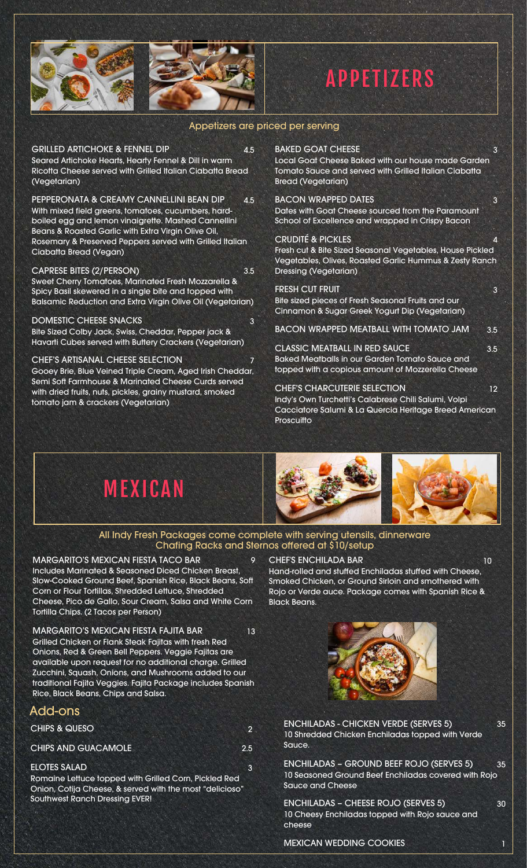



# **APPETIZERS**

#### Appetizers are priced per serving

GRILLED ARTICHOKE & FENNEL DIP 4.5 Seared Artichoke Hearts, Hearty Fennel & Dill in warm Ricotta Cheese served with Grilled Italian Ciabatta Bread (Vegetarian)

PEPPERONATA & CREAMY CANNELLINI BEAN DIP 4.5 With mixed field greens, tomatoes, cucumbers, hardboiled egg and lemon vinaigrette. Mashed Cannellini Beans & Roasted Garlic with Extra Virgin Olive Oil, Rosemary & Preserved Peppers served with Grilled Italian Ciabatta Bread (Vegan)

CAPRESE BITES (2/PERSON) 3.5 Sweet Cherry Tomatoes, Marinated Fresh Mozzarella & Spicy Basil skewered in a single bite and topped with Balsamic Reduction and Extra Virgin Olive Oil (Vegetarian)

DOMESTIC CHEESE SNACKS Bite Sized Colby Jack, Swiss, Cheddar, Pepper jack & Havarti Cubes served with Buttery Crackers (Vegetarian)

CHEF'S ARTISANAL CHEESE SELECTION Gooey Brie, Blue Veined Triple Cream, Aged Irish Cheddar, Semi Soft Farmhouse & Marinated Cheese Curds served with dried fruits, nuts, pickles, grainy mustard, smoked tomato jam & crackers (Vegetarian)

#### BAKED GOAT CHEESE 3

Local Goat Cheese Baked with our house made Garden Tomato Sauce and served with Grilled Italian Ciabatta Bread (Vegetarian)

#### BACON WRAPPED DATES 3

Dates with Goat Cheese sourced from the Paramount School of Excellence and wrapped in Crispy Bacon

#### CRUDITÉ & PICKLES

Fresh cut & Bite Sized Seasonal Vegetables, House Pickled Vegetables, Olives, Roasted Garlic Hummus & Zesty Ranch Dressing (Vegetarian)

#### FRESH CUT FRUIT 3

**Proscuitto** 

Bite sized pieces of Fresh Seasonal Fruits and our Cinnamon & Sugar Greek Yogurt Dip (Vegetarian)

BACON WRAPPED MEATBALL WITH TOMATO JAM 3.5

CLASSIC MEATBALL IN RED SAUCE 3.5 Baked Meatballs in our Garden Tomato Sauce and topped with a copious amount of Mozzerella Cheese

CHEF'S CHARCUTERIE SELECTION 12 Indy's Own Turchetti's Calabrese Chili Salumi, Volpi Cacciatore Salumi & La Quercia Heritage Breed American



#### All Indy Fresh Packages come complete with serving utensils, dinnerware Chafing Racks and Sternos offered at \$10/setup

MARGARITO'S MEXICAN FIESTA TACO BAR 9 Includes Marinated & Seasoned Diced Chicken Breast, Slow-Cooked Ground Beef, Spanish Rice, Black Beans, Soft Corn or Flour Tortillas, Shredded Lettuce, Shredded Cheese, Pico de Gallo, Sour Cream, Salsa and White Corn Tortilla Chips. (2 Tacos per Person)

MARGARITO'S MEXICAN FIESTA FAJITA BAR 13 Grilled Chicken or Flank Steak Fajitas with fresh Red Onions, Red & Green Bell Peppers. Veggie Fajitas are available upon request for no additional charge. Grilled Zucchini, Squash, Onions, and Mushrooms added to our traditional Fajita Veggies. Fajita Package includes Spanish Rice, Black Beans, Chips and Salsa.

### Add-ons

CHIPS & QUESO 2

CHIPS AND GUACAMOLE 2.5

#### ELOTES SALAD 3

Romaine Lettuce topped with Grilled Corn, Pickled Red Onion, Cotija Cheese, & served with the most "delicioso" Southwest Ranch Dressing EVER!

#### CHEF'S ENCHILADA BAR 10

Hand-rolled and stuffed Enchiladas stuffed with Cheese, Smoked Chicken, or Ground Sirloin and smothered with Rojo or Verde auce. Package comes with Spanish Rice & Black Beans.



ENCHILADAS - CHICKEN VERDE (SERVES 5) 35 10 Shredded Chicken Enchiladas topped with Verde Sauce.

ENCHILADAS – GROUND BEEF ROJO (SERVES 5) 35 10 Seasoned Ground Beef Enchiladas covered with Rojo Sauce and Cheese

ENCHILADAS – CHEESE ROJO (SERVES 5) 30 10 Cheesy Enchiladas topped with Rojo sauce and cheese

MEXICAN WEDDING COOKIES 1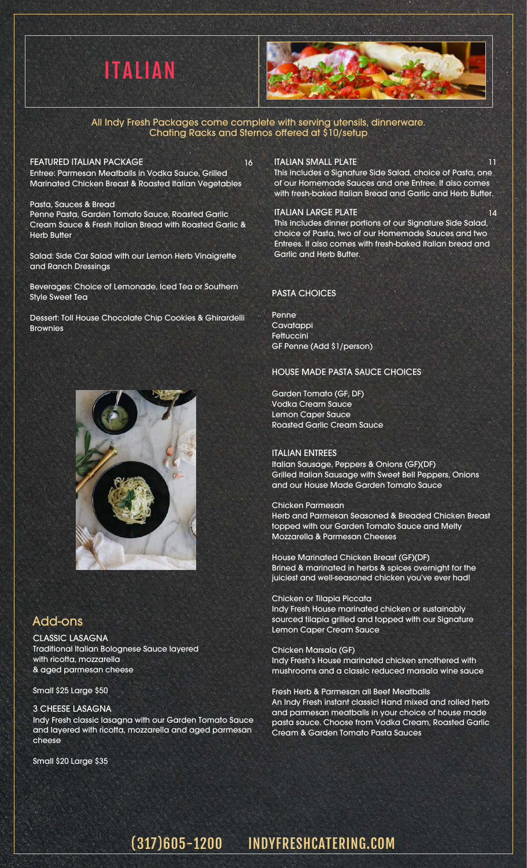



All Indy Fresh Packages come complete with serving utensils, dinnerware. Chafing Racks and Sternos offered at \$10/setup

FEATURED ITALIAN PACKAGE 16 Entree: Parmesan Meatballs in Vodka Sauce, Grilled Marinated Chicken Breast & Roasted Italian Vegetables

Pasta, Sauces & Bread Penne Pasta, Garden Tomato Sauce, Roasted Garlic Cream Sauce & Fresh Italian Bread with Roasted Garlic & Herb Butter

Salad: Side Car Salad with our Lemon Herb Vinaigrette and Ranch Dressings

Beverages: Choice of Lemonade, Iced Tea or Southern Style Sweet Tea

Dessert: Toll House Chocolate Chip Cookies & Ghirardelli **Brownies** 



### Add-ons

CLASSIC LASAGNA Traditional Italian Bolognese Sauce layered with ricotta, mozzarella & aged parmesan cheese

Small \$25 Large \$50

#### 3 CHEESE LASAGNA

Indy Fresh classic lasagna with our Garden Tomato Sauce and layered with ricotta, mozzarella and aged parmesan cheese

Small \$20 Large \$35

#### ITALIAN SMALL PLATE 11 11

This includes a Signature Side Salad, choice of Pasta, one of our Homemade Sauces and one Entree. It also comes with fresh-baked Italian Bread and Garlic and Herb Butter.

#### ITALIAN LARGE PLATE 14

This includes dinner portions of our Signature Side Salad, choice of Pasta, two of our Homemade Sauces and two Entrees. It also comes with fresh-baked Italian bread and Garlic and Herb Butter.

#### PASTA CHOICES

Penne **Cavatappi Fettuccini** GF Penne (Add \$1/person)

#### HOUSE MADE PASTA SAUCE CHOICES

Garden Tomato (GF, DF) Vodka Cream Sauce Lemon Caper Sauce Roasted Garlic Cream Sauce

#### ITALIAN ENTREES

Italian Sausage, Peppers & Onions (GF)(DF) Grilled Italian Sausage with Sweet Bell Peppers, Onions and our House Made Garden Tomato Sauce

#### Chicken Parmesan

Herb and Parmesan Seasoned & Breaded Chicken Breast topped with our Garden Tomato Sauce and Melty Mozzarella & Parmesan Cheeses

House Marinated Chicken Breast (GF)(DF) Brined & marinated in herbs & spices overnight for the juiciest and well-seasoned chicken you've ever had!

#### Chicken or Tilapia Piccata

Indy Fresh House marinated chicken or sustainably sourced tilapia grilled and topped with our Signature Lemon Caper Cream Sauce

#### Chicken Marsala (GF)

Indy Fresh's House marinated chicken smothered with mushrooms and a classic reduced marsala wine sauce

#### Fresh Herb & Parmesan all Beef Meatballs

An Indy Fresh instant classic! Hand mixed and rolled herb and parmesan meatballs in your choice of house made pasta sauce. Choose from Vodka Cream, Roasted Garlic Cream & Garden Tomato Pasta Sauces

### (317)605-1200 INDYFRESHCATERING.COM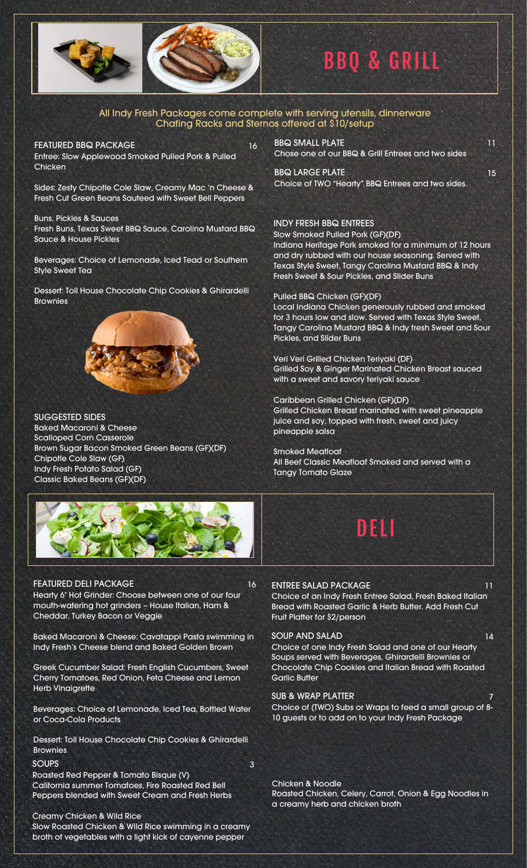

# BBQ & GRILL

#### All Indy Fresh Packages come complete with serving utensils, dinnerware Chafing Racks and Sternos offered at \$10/setup

FEATURED BBQ PACKAGE 16 Entree: Slow Applewood Smoked Pulled Pork & Pulled **Chicken** 

Sides: Zesty Chipotle Cole Slaw, Creamy Mac 'n Cheese & Fresh Cut Green Beans Sauteed with Sweet Bell Peppers

Buns, Pickles & Sauces Fresh Buns, Texas Sweet BBQ Sauce, Carolina Mustard BBQ Sauce & House Pickles

Beverages: Choice of Lemonade, Iced Tead or Southern Style Sweet Tea

Dessert: Toll House Chocolate Chip Cookies & Ghirardelli **Brownies** 



SUGGESTED SIDES Baked Macaroni & Cheese Scalloped Corn Casserole Brown Sugar Bacon Smoked Green Beans (GF)(DF) Chipotle Cole Slaw (GF) Indy Fresh Potato Salad (GF) Classic Baked Beans (GF)(DF)



#### FEATURED DELI PACKAGE 16

Hearty 6″ Hot Grinder: Choose between one of our four mouth-watering hot grinders – House Italian, Ham & Cheddar, Turkey Bacon or Veggie

Baked Macaroni & Cheese: Cavatappi Pasta swimming in Indy Fresh's Cheese blend and Baked Golden Brown

Greek Cucumber Salad: Fresh English Cucumbers, Sweet Cherry Tomatoes, Red Onion, Feta Cheese and Lemon Herb Vinaigrette

Beverages: Choice of Lemonade, Iced Tea, Bottled Water or Coca-Cola Products

Dessert: Toll House Chocolate Chip Cookies & Ghirardelli Brownies

#### SOUPS 3

Roasted Red Pepper & Tomato Bisque (V) California summer Tomatoes, Fire Roasted Red Bell Peppers blended with Sweet Cream and Fresh Herbs

#### Creamy Chicken & Wild Rice

Slow Roasted Chicken & Wild Rice swimming in a creamy broth of vegetables with a light kick of cayenne pepper

BBQ SMALL PLATE 11 Chose one of our BBQ & Grill Entrees and two sides

BBQ LARGE PLATE 15 Choice of TWO "Hearty" BBQ Entrees and two sides.

#### INDY FRESH BBQ ENTREES

Slow Smoked Pulled Pork (GF)(DF)

Indiana Heritage Pork smoked for a minimum of 12 hours and dry rubbed with our house seasoning. Served with Texas Style Sweet, Tangy Carolina Mustard BBQ & Indy Fresh Sweet & Sour Pickles, and Slider Buns

#### Pulled BBQ Chicken (GF)(DF)

Local Indiana Chicken generously rubbed and smoked for 3 hours low and slow. Served with Texas Style Sweet, Tangy Carolina Mustard BBQ & Indy fresh Sweet and Sour Pickles, and Slider Buns

Veri Veri Grilled Chicken Teriyaki (DF) Grilled Soy & Ginger Marinated Chicken Breast sauced with a sweet and savory teriyaki sauce

Caribbean Grilled Chicken (GF)(DF) Grilled Chicken Breast marinated with sweet pineapple juice and soy, topped with fresh, sweet and juicy pineapple salsa

Smoked Meatloaf All Beef Classic Meatloaf Smoked and served with a Tangy Tomato Glaze

# DELI

#### ENTREE SALAD PACKAGE 11

Choice of an Indy Fresh Entree Salad, Fresh Baked Italian Bread with Roasted Garlic & Herb Butter. Add Fresh Cut Fruit Platter for \$2/person

#### SOUP AND SALAD 14

Choice of one Indy Fresh Salad and one of our Hearty Soups served with Beverages, Ghirardelli Brownies or Chocolate Chip Cookies and Italian Bread with Roasted Garlic Butter

#### SUB & WRAP PLATTER

Choice of (TWO) Subs or Wraps to feed a small group of 8- 10 guests or to add on to your Indy Fresh Package

Chicken & Noodle

Roasted Chicken, Celery, Carrot, Onion & Egg Noodles in a creamy herb and chicken broth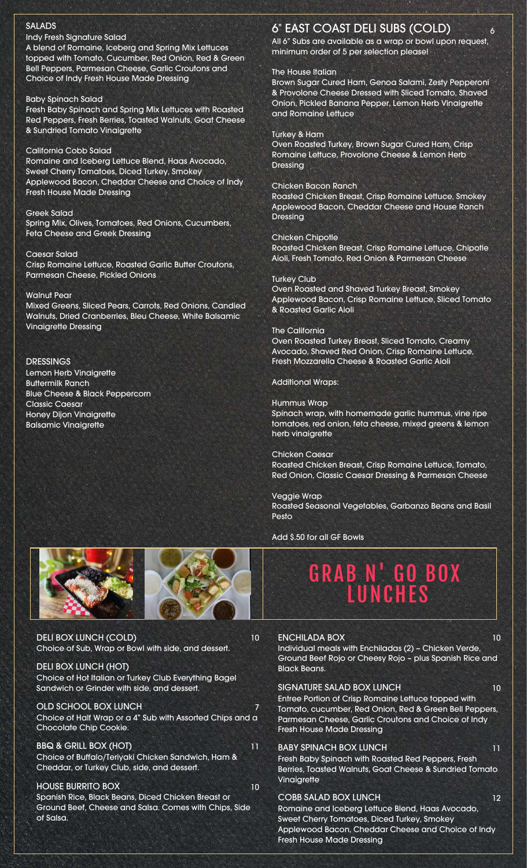#### SALADS

#### Indy Fresh Signature Salad

A blend of Romaine, Iceberg and Spring Mix Lettuces topped with Tomato, Cucumber, Red Onion, Red & Green Bell Peppers, Parmesan Cheese, Garlic Croutons and Choice of Indy Fresh House Made Dressing

#### Baby Spinach Salad

Fresh Baby Spinach and Spring Mix Lettuces with Roasted Red Peppers, Fresh Berries, Toasted Walnuts, Goat Cheese & Sundried Tomato Vinaigrette

#### California Cobb Salad

Romaine and Iceberg Lettuce Blend, Haas Avocado, Sweet Cherry Tomatoes, Diced Turkey, Smokey Applewood Bacon, Cheddar Cheese and Choice of Indy Fresh House Made Dressing

#### Greek Salad

Spring Mix, Olives, Tomatoes, Red Onions, Cucumbers, Feta Cheese and Greek Dressing

#### Caesar Salad

Crisp Romaine Lettuce, Roasted Garlic Butter Croutons, Parmesan Cheese, Pickled Onions

#### Walnut Pear

Mixed Greens, Sliced Pears, Carrots, Red Onions, Candied Walnuts, Dried Cranberries, Bleu Cheese, White Balsamic Vinaigrette Dressing

#### DRESSINGS

Lemon Herb Vinaigrette Buttermilk Ranch Blue Cheese & Black Peppercorn Classic Caesar Honey Dijon Vinaigrette Balsamic Vinaigrette

### 6" EAST COAST DELI SUBS (COLD) <sup>6</sup>

All 6" Subs are available as a wrap or bowl upon request, minimum order of 5 per selection please!

#### The House Italian

Brown Sugar Cured Ham, Genoa Salami, Zesty Pepperoni & Provolone Cheese Dressed with Sliced Tomato, Shaved Onion, Pickled Banana Pepper, Lemon Herb Vinaigrette and Romaine Lettuce

#### Turkey & Ham

Oven Roasted Turkey, Brown Sugar Cured Ham, Crisp Romaine Lettuce, Provolone Cheese & Lemon Herb Dressing

#### Chicken Bacon Ranch

Roasted Chicken Breast, Crisp Romaine Lettuce, Smokey Applewood Bacon, Cheddar Cheese and House Ranch Dressing

#### Chicken Chipotle

Roasted Chicken Breast, Crisp Romaine Lettuce, Chipotle Aioli, Fresh Tomato, Red Onion & Parmesan Cheese

#### Turkey Club

Oven Roasted and Shaved Turkey Breast, Smokey Applewood Bacon, Crisp Romaine Lettuce, Sliced Tomato & Roasted Garlic Aioli

#### The California

Oven Roasted Turkey Breast, Sliced Tomato, Creamy Avocado, Shaved Red Onion, Crisp Romaine Lettuce, Fresh Mozzarella Cheese & Roasted Garlic Aioli

#### Additional Wraps:

#### Hummus Wrap

Spinach wrap, with homemade garlic hummus, vine ripe tomatoes, red onion, feta cheese, mixed greens & lemon herb vinaigrette

Chicken Caesar Roasted Chicken Breast, Crisp Romaine Lettuce, Tomato, Red Onion, Classic Caesar Dressing & Parmesan Cheese

Veggie Wrap Roasted Seasonal Vegetables, Garbanzo Beans and Basil Pesto

Add \$.50 for all GF Bowls





DELI BOX LUNCH (COLD) 10 Choice of Sub, Wrap or Bowl with side, and dessert.

DELI BOX LUNCH (HOT) Choice of Hot Italian or Turkey Club Everything Bagel Sandwich or Grinder with side, and dessert.

OLD SCHOOL BOX LUNCH 7 Choice of Half Wrap or a 4" Sub with Assorted Chips and a Chocolate Chip Cookie.

BBQ & GRILL BOX (HOT) 11 Choice of Buffalo/Teriyaki Chicken Sandwich, Ham & Cheddar, or Turkey Club, side, and dessert.

#### HOUSE BURRITO BOX 10 Spanish Rice, Black Beans, Diced Chicken Breast or

Ground Beef, Cheese and Salsa. Comes with Chips, Side of Salsa.

## GRAB N' GO BOX LUNCHES

ENCHILADA BOX 10 Individual meals with Enchiladas (2) – Chicken Verde, Ground Beef Rojo or Cheesy Rojo – plus Spanish Rice and Black Beans. SIGNATURE SALAD BOX LUNCH 10 Entree Portion of Crisp Romaine Lettuce topped with Tomato, cucumber, Red Onion, Red & Green Bell Peppers, Parmesan Cheese, Garlic Croutons and Choice of Indy Fresh House Made Dressing BABY SPINACH BOX LUNCH 11 Fresh Baby Spinach with Roasted Red Peppers, Fresh Berries, Toasted Walnuts, Goat Cheese & Sundried Tomato Vinaigrette

#### COBB SALAD BOX LUNCH 12

Romaine and Iceberg Lettuce Blend, Haas Avocado, Sweet Cherry Tomatoes, Diced Turkey, Smokey Applewood Bacon, Cheddar Cheese and Choice of Indy Fresh House Made Dressing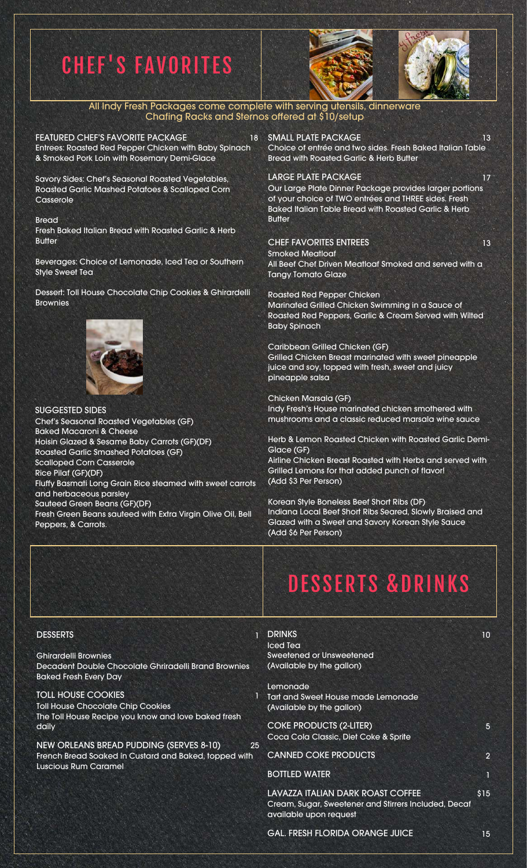# CHEF'S FAVORITES





All Indy Fresh Packages come complete with serving utensils, dinnerware Chafing Racks and Sternos offered at \$10/setup

FEATURED CHEF'S FAVORITE PACKAGE Entrees: Roasted Red Pepper Chicken with Baby Spinach & Smoked Pork Loin with Rosemary Demi-Glace

Savory Sides: Chef's Seasonal Roasted Vegetables, Roasted Garlic Mashed Potatoes & Scalloped Corn **Casserole** 

Bread

Fresh Baked Italian Bread with Roasted Garlic & Herb **Butter** 

Beverages: Choice of Lemonade, Iced Tea or Southern Style Sweet Tea

Dessert: Toll House Chocolate Chip Cookies & Ghirardelli Brownies



SUGGESTED SIDES Chef's Seasonal Roasted Vegetables (GF) Baked Macaroni & Cheese Hoisin Glazed & Sesame Baby Carrots (GF)(DF) Roasted Garlic Smashed Potatoes (GF) Scalloped Corn Casserole Rice Pilaf (GF)(DF) Fluffy Basmati Long Grain Rice steamed with sweet carrots and herbaceous parsley Sauteed Green Beans (GF)(DF) Fresh Green Beans sauteed with Extra Virgin Olive Oil, Bell Peppers, & Carrots.

18 SMALL PLATE PACKAGE 13 13 Choice of entrée and two sides. Fresh Baked Italian Table Bread with Roasted Garlic & Herb Butter

LARGE PLATE PACKAGE 17 Our Large Plate Dinner Package provides larger portions

of your choice of TWO entrées and THREE sides. Fresh Baked Italian Table Bread with Roasted Garlic & Herb **Butter** 

#### CHEF FAVORITES ENTREES 13

(Add \$3 Per Person)

Smoked Meatloaf All Beef Chef Driven Meatloaf Smoked and served with a Tangy Tomato Glaze

Roasted Red Pepper Chicken Marinated Grilled Chicken Swimming in a Sauce of Roasted Red Peppers, Garlic & Cream Served with Wilted Baby Spinach

Caribbean Grilled Chicken (GF) Grilled Chicken Breast marinated with sweet pineapple juice and soy, topped with fresh, sweet and juicy pineapple salsa

Chicken Marsala (GF) Indy Fresh's House marinated chicken smothered with mushrooms and a classic reduced marsala wine sauce

Herb & Lemon Roasted Chicken with Roasted Garlic Demi-Glace (GF) Airline Chicken Breast Roasted with Herbs and served with Grilled Lemons for that added punch of flavor!

Korean Style Boneless Beef Short Ribs (DF) Indiana Local Beef Short Ribs Seared, Slowly Braised and Glazed with a Sweet and Savory Korean Style Sauce (Add \$6 Per Person)

#### **DESSERTS**

Ghirardelli Brownies Decadent Double Chocolate Ghriradelli Brand Brownies Baked Fresh Every Day

TOLL HOUSE COOKIES 1 Toll House Chocolate Chip Cookies The Toll House Recipe you know and love baked fresh daily

NEW ORLEANS BREAD PUDDING (SERVES 8-10) French Bread Soaked in Custard and Baked, topped with Luscious Rum Caramel

# DESSERTS &DRINKS

| <b>DRINKS</b><br>Iced Tea<br>Sweetened or Unsweetened<br>(Available by the gallon)                                  | 10             |
|---------------------------------------------------------------------------------------------------------------------|----------------|
| Lemonade<br>Tart and Sweet House made Lemonade<br>(Available by the gallon)                                         |                |
| <b>COKE PRODUCTS (2-LITER)</b><br>Coca Cola Classic, Diet Coke & Sprite                                             | 5              |
| <b>CANNED COKE PRODUCTS</b>                                                                                         | $\overline{2}$ |
| <b>BOTTLED WATER</b>                                                                                                | 1              |
| LAVAZZA ITALIAN DARK ROAST COFFEE<br>Cream, Sugar, Sweetener and Stirrers Included, Decaf<br>available upon request | \$15           |

GAL. FRESH FLORIDA ORANGE JUICE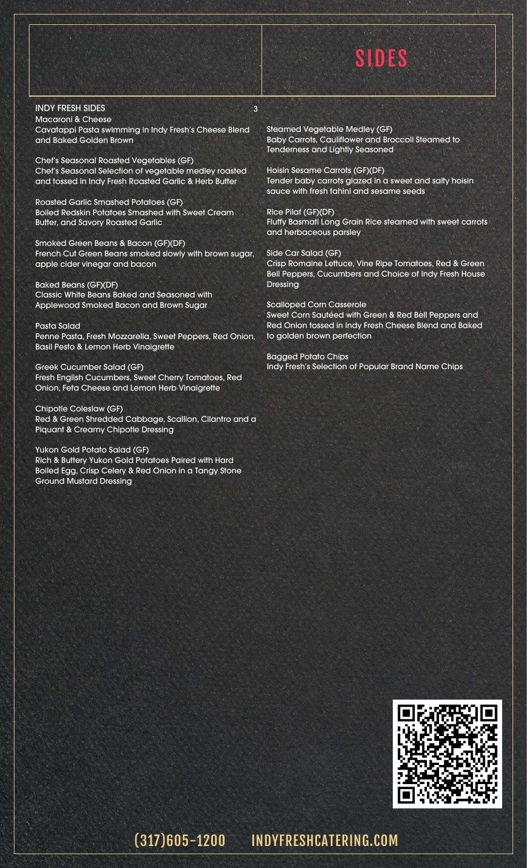# SIDES

#### INDY FRESH SIDES 3

Macaroni & Cheese Cavatappi Pasta swimming in Indy Fresh's Cheese Blend and Baked Golden Brown

Chef's Seasonal Roasted Vegetables (GF) Chef's Seasonal Selection of vegetable medley roasted and tossed in Indy Fresh Roasted Garlic & Herb Butter

Roasted Garlic Smashed Potatoes (GF) Boiled Redskin Potatoes Smashed with Sweet Cream Butter, and Savory Roasted Garlic

Smoked Green Beans & Bacon (GF)(DF) French Cut Green Beans smoked slowly with brown sugar, apple cider vinegar and bacon

Baked Beans (GF)(DF) Classic White Beans Baked and Seasoned with Applewood Smoked Bacon and Brown Sugar

Pasta Salad Penne Pasta, Fresh Mozzarella, Sweet Peppers, Red Onion, Basil Pesto & Lemon Herb Vinaigrette

Greek Cucumber Salad (GF) Fresh English Cucumbers, Sweet Cherry Tomatoes, Red Onion, Feta Cheese and Lemon Herb Vinaigrette

Chipotle Coleslaw (GF) Red & Green Shredded Cabbage, Scallion, Cilantro and a Piquant & Creamy Chipotle Dressing

Yukon Gold Potato Salad (GF) Rich & Buttery Yukon Gold Potatoes Paired with Hard Boiled Egg, Crisp Celery & Red Onion in a Tangy Stone Ground Mustard Dressing

Steamed Vegetable Medley (GF) Baby Carrots, Cauliflower and Broccoli Steamed to Tenderness and Lightly Seasoned

Hoisin Sesame Carrots (GF)(DF) Tender baby carrots glazed in a sweet and salty hoisin sauce with fresh tahini and sesame seeds

Rice Pilaf (GF)(DF) Fluffy Basmati Long Grain Rice steamed with sweet carrots and herbaceous parsley

Side Car Salad (GF) Crisp Romaine Lettuce, Vine Ripe Tomatoes, Red & Green Bell Peppers, Cucumbers and Choice of Indy Fresh House Dressing

Scalloped Corn Casserole Sweet Corn Sautéed with Green & Red Bell Peppers and Red Onion tossed in Indy Fresh Cheese Blend and Baked to golden brown perfection

Bagged Potato Chips Indy Fresh's Selection of Popular Brand Name Chips



### (317)605-1200 INDYFRESHCATERING.COM